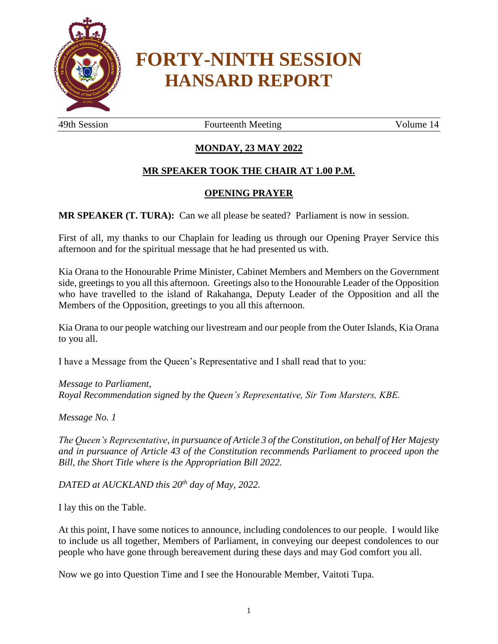

# **FORTY-NINTH SESSION HANSARD REPORT**

49th Session **Fourteenth Meeting** Volume 14

# **MONDAY, 23 MAY 2022**

## **MR SPEAKER TOOK THE CHAIR AT 1.00 P.M.**

#### **OPENING PRAYER**

**MR SPEAKER (T. TURA):** Can we all please be seated? Parliament is now in session.

First of all, my thanks to our Chaplain for leading us through our Opening Prayer Service this afternoon and for the spiritual message that he had presented us with.

Kia Orana to the Honourable Prime Minister, Cabinet Members and Members on the Government side, greetings to you all this afternoon. Greetings also to the Honourable Leader of the Opposition who have travelled to the island of Rakahanga, Deputy Leader of the Opposition and all the Members of the Opposition, greetings to you all this afternoon.

Kia Orana to our people watching our livestream and our people from the Outer Islands, Kia Orana to you all.

I have a Message from the Queen's Representative and I shall read that to you:

*Message to Parliament, Royal Recommendation signed by the Queen's Representative, Sir Tom Marsters, KBE.*

*Message No. 1*

*The Queen's Representative, in pursuance of Article 3 of the Constitution, on behalf of Her Majesty and in pursuance of Article 43 of the Constitution recommends Parliament to proceed upon the Bill, the Short Title where is the Appropriation Bill 2022.*

*DATED at AUCKLAND this 20th day of May, 2022.* 

I lay this on the Table.

At this point, I have some notices to announce, including condolences to our people. I would like to include us all together, Members of Parliament, in conveying our deepest condolences to our people who have gone through bereavement during these days and may God comfort you all.

Now we go into Question Time and I see the Honourable Member, Vaitoti Tupa.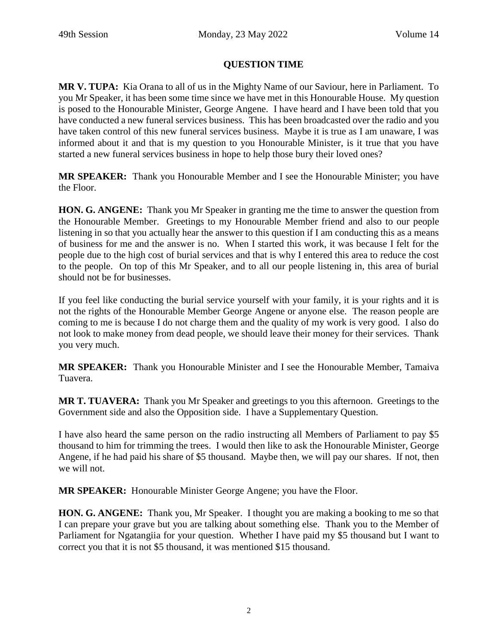# **QUESTION TIME**

**MR V. TUPA:** Kia Orana to all of us in the Mighty Name of our Saviour, here in Parliament. To you Mr Speaker, it has been some time since we have met in this Honourable House. My question is posed to the Honourable Minister, George Angene. I have heard and I have been told that you have conducted a new funeral services business. This has been broadcasted over the radio and you have taken control of this new funeral services business. Maybe it is true as I am unaware, I was informed about it and that is my question to you Honourable Minister, is it true that you have started a new funeral services business in hope to help those bury their loved ones?

**MR SPEAKER:** Thank you Honourable Member and I see the Honourable Minister; you have the Floor.

**HON. G. ANGENE:** Thank you Mr Speaker in granting me the time to answer the question from the Honourable Member. Greetings to my Honourable Member friend and also to our people listening in so that you actually hear the answer to this question if I am conducting this as a means of business for me and the answer is no. When I started this work, it was because I felt for the people due to the high cost of burial services and that is why I entered this area to reduce the cost to the people. On top of this Mr Speaker, and to all our people listening in, this area of burial should not be for businesses.

If you feel like conducting the burial service yourself with your family, it is your rights and it is not the rights of the Honourable Member George Angene or anyone else. The reason people are coming to me is because I do not charge them and the quality of my work is very good. I also do not look to make money from dead people, we should leave their money for their services. Thank you very much.

**MR SPEAKER:** Thank you Honourable Minister and I see the Honourable Member, Tamaiva Tuavera.

**MR T. TUAVERA:** Thank you Mr Speaker and greetings to you this afternoon. Greetings to the Government side and also the Opposition side. I have a Supplementary Question.

I have also heard the same person on the radio instructing all Members of Parliament to pay \$5 thousand to him for trimming the trees. I would then like to ask the Honourable Minister, George Angene, if he had paid his share of \$5 thousand. Maybe then, we will pay our shares. If not, then we will not.

**MR SPEAKER:** Honourable Minister George Angene; you have the Floor.

**HON. G. ANGENE:** Thank you, Mr Speaker. I thought you are making a booking to me so that I can prepare your grave but you are talking about something else. Thank you to the Member of Parliament for Ngatangiia for your question. Whether I have paid my \$5 thousand but I want to correct you that it is not \$5 thousand, it was mentioned \$15 thousand.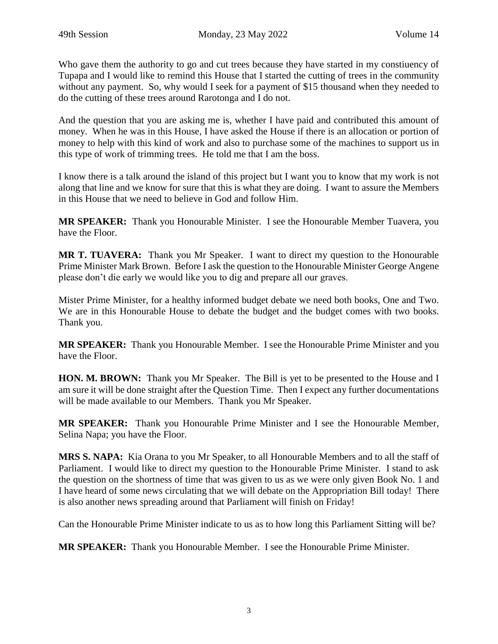Who gave them the authority to go and cut trees because they have started in my constiuency of Tupapa and I would like to remind this House that I started the cutting of trees in the community without any payment. So, why would I seek for a payment of \$15 thousand when they needed to do the cutting of these trees around Rarotonga and I do not.

And the question that you are asking me is, whether I have paid and contributed this amount of money. When he was in this House, I have asked the House if there is an allocation or portion of money to help with this kind of work and also to purchase some of the machines to support us in this type of work of trimming trees. He told me that I am the boss.

I know there is a talk around the island of this project but I want you to know that my work is not along that line and we know for sure that this is what they are doing. I want to assure the Members in this House that we need to believe in God and follow Him.

**MR SPEAKER:** Thank you Honourable Minister. I see the Honourable Member Tuavera, you have the Floor.

**MR T. TUAVERA:** Thank you Mr Speaker. I want to direct my question to the Honourable Prime Minister Mark Brown. Before I ask the question to the Honourable Minister George Angene please don't die early we would like you to dig and prepare all our graves.

Mister Prime Minister, for a healthy informed budget debate we need both books, One and Two. We are in this Honourable House to debate the budget and the budget comes with two books. Thank you.

**MR SPEAKER:** Thank you Honourable Member. I see the Honourable Prime Minister and you have the Floor.

**HON. M. BROWN:** Thank you Mr Speaker. The Bill is yet to be presented to the House and I am sure it will be done straight after the Question Time. Then I expect any further documentations will be made available to our Members. Thank you Mr Speaker.

**MR SPEAKER:** Thank you Honourable Prime Minister and I see the Honourable Member, Selina Napa; you have the Floor.

**MRS S. NAPA:** Kia Orana to you Mr Speaker, to all Honourable Members and to all the staff of Parliament. I would like to direct my question to the Honourable Prime Minister. I stand to ask the question on the shortness of time that was given to us as we were only given Book No. 1 and I have heard of some news circulating that we will debate on the Appropriation Bill today! There is also another news spreading around that Parliament will finish on Friday!

Can the Honourable Prime Minister indicate to us as to how long this Parliament Sitting will be?

**MR SPEAKER:** Thank you Honourable Member. I see the Honourable Prime Minister.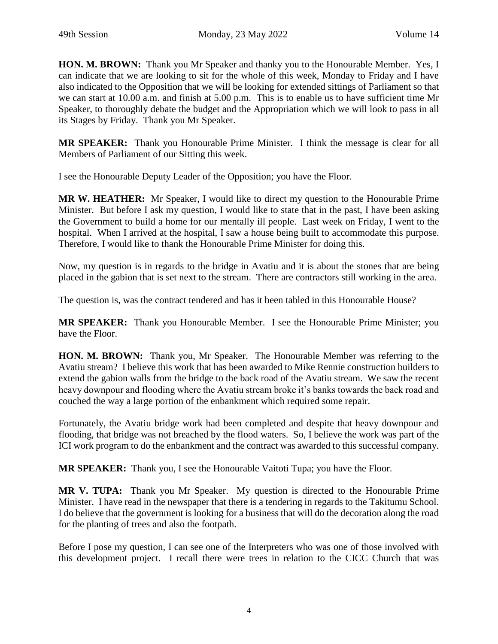**HON. M. BROWN:** Thank you Mr Speaker and thanky you to the Honourable Member. Yes, I can indicate that we are looking to sit for the whole of this week, Monday to Friday and I have also indicated to the Opposition that we will be looking for extended sittings of Parliament so that we can start at 10.00 a.m. and finish at 5.00 p.m. This is to enable us to have sufficient time Mr Speaker, to thoroughly debate the budget and the Appropriation which we will look to pass in all its Stages by Friday. Thank you Mr Speaker.

**MR SPEAKER:** Thank you Honourable Prime Minister. I think the message is clear for all Members of Parliament of our Sitting this week.

I see the Honourable Deputy Leader of the Opposition; you have the Floor.

**MR W. HEATHER:** Mr Speaker, I would like to direct my question to the Honourable Prime Minister. But before I ask my question, I would like to state that in the past, I have been asking the Government to build a home for our mentally ill people. Last week on Friday, I went to the hospital. When I arrived at the hospital, I saw a house being built to accommodate this purpose. Therefore, I would like to thank the Honourable Prime Minister for doing this.

Now, my question is in regards to the bridge in Avatiu and it is about the stones that are being placed in the gabion that is set next to the stream. There are contractors still working in the area.

The question is, was the contract tendered and has it been tabled in this Honourable House?

**MR SPEAKER:** Thank you Honourable Member. I see the Honourable Prime Minister; you have the Floor.

**HON. M. BROWN:** Thank you, Mr Speaker. The Honourable Member was referring to the Avatiu stream? I believe this work that has been awarded to Mike Rennie construction builders to extend the gabion walls from the bridge to the back road of the Avatiu stream. We saw the recent heavy downpour and flooding where the Avatiu stream broke it's banks towards the back road and couched the way a large portion of the enbankment which required some repair.

Fortunately, the Avatiu bridge work had been completed and despite that heavy downpour and flooding, that bridge was not breached by the flood waters. So, I believe the work was part of the ICI work program to do the enbankment and the contract was awarded to this successful company.

**MR SPEAKER:** Thank you, I see the Honourable Vaitoti Tupa; you have the Floor.

**MR V. TUPA:** Thank you Mr Speaker. My question is directed to the Honourable Prime Minister. I have read in the newspaper that there is a tendering in regards to the Takitumu School. I do believe that the government is looking for a business that will do the decoration along the road for the planting of trees and also the footpath.

Before I pose my question, I can see one of the Interpreters who was one of those involved with this development project. I recall there were trees in relation to the CICC Church that was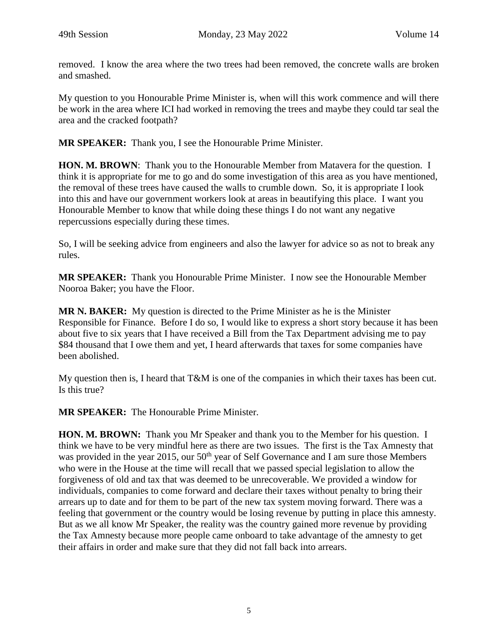removed. I know the area where the two trees had been removed, the concrete walls are broken and smashed.

My question to you Honourable Prime Minister is, when will this work commence and will there be work in the area where ICI had worked in removing the trees and maybe they could tar seal the area and the cracked footpath?

**MR SPEAKER:** Thank you, I see the Honourable Prime Minister.

**HON. M. BROWN**: Thank you to the Honourable Member from Matavera for the question. I think it is appropriate for me to go and do some investigation of this area as you have mentioned, the removal of these trees have caused the walls to crumble down. So, it is appropriate I look into this and have our government workers look at areas in beautifying this place. I want you Honourable Member to know that while doing these things I do not want any negative repercussions especially during these times.

So, I will be seeking advice from engineers and also the lawyer for advice so as not to break any rules.

**MR SPEAKER:** Thank you Honourable Prime Minister. I now see the Honourable Member Nooroa Baker; you have the Floor.

**MR N. BAKER:** My question is directed to the Prime Minister as he is the Minister Responsible for Finance. Before I do so, I would like to express a short story because it has been about five to six years that I have received a Bill from the Tax Department advising me to pay \$84 thousand that I owe them and yet, I heard afterwards that taxes for some companies have been abolished.

My question then is, I heard that T&M is one of the companies in which their taxes has been cut. Is this true?

**MR SPEAKER:** The Honourable Prime Minister.

**HON. M. BROWN:** Thank you Mr Speaker and thank you to the Member for his question. I think we have to be very mindful here as there are two issues. The first is the Tax Amnesty that was provided in the year 2015, our 50<sup>th</sup> year of Self Governance and I am sure those Members who were in the House at the time will recall that we passed special legislation to allow the forgiveness of old and tax that was deemed to be unrecoverable. We provided a window for individuals, companies to come forward and declare their taxes without penalty to bring their arrears up to date and for them to be part of the new tax system moving forward. There was a feeling that government or the country would be losing revenue by putting in place this amnesty. But as we all know Mr Speaker, the reality was the country gained more revenue by providing the Tax Amnesty because more people came onboard to take advantage of the amnesty to get their affairs in order and make sure that they did not fall back into arrears.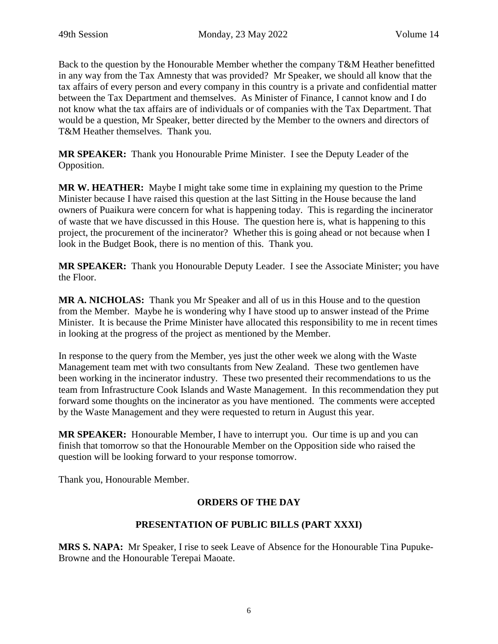Back to the question by the Honourable Member whether the company T&M Heather benefitted in any way from the Tax Amnesty that was provided? Mr Speaker, we should all know that the tax affairs of every person and every company in this country is a private and confidential matter between the Tax Department and themselves. As Minister of Finance, I cannot know and I do not know what the tax affairs are of individuals or of companies with the Tax Department. That would be a question, Mr Speaker, better directed by the Member to the owners and directors of T&M Heather themselves. Thank you.

**MR SPEAKER:** Thank you Honourable Prime Minister. I see the Deputy Leader of the Opposition.

**MR W. HEATHER:** Maybe I might take some time in explaining my question to the Prime Minister because I have raised this question at the last Sitting in the House because the land owners of Puaikura were concern for what is happening today. This is regarding the incinerator of waste that we have discussed in this House. The question here is, what is happening to this project, the procurement of the incinerator? Whether this is going ahead or not because when I look in the Budget Book, there is no mention of this. Thank you.

**MR SPEAKER:** Thank you Honourable Deputy Leader. I see the Associate Minister; you have the Floor.

**MR A. NICHOLAS:** Thank you Mr Speaker and all of us in this House and to the question from the Member. Maybe he is wondering why I have stood up to answer instead of the Prime Minister. It is because the Prime Minister have allocated this responsibility to me in recent times in looking at the progress of the project as mentioned by the Member.

In response to the query from the Member, yes just the other week we along with the Waste Management team met with two consultants from New Zealand. These two gentlemen have been working in the incinerator industry. These two presented their recommendations to us the team from Infrastructure Cook Islands and Waste Management. In this recommendation they put forward some thoughts on the incinerator as you have mentioned. The comments were accepted by the Waste Management and they were requested to return in August this year.

**MR SPEAKER:** Honourable Member, I have to interrupt you. Our time is up and you can finish that tomorrow so that the Honourable Member on the Opposition side who raised the question will be looking forward to your response tomorrow.

Thank you, Honourable Member.

# **ORDERS OF THE DAY**

#### **PRESENTATION OF PUBLIC BILLS (PART XXXI)**

**MRS S. NAPA:** Mr Speaker, I rise to seek Leave of Absence for the Honourable Tina Pupuke-Browne and the Honourable Terepai Maoate.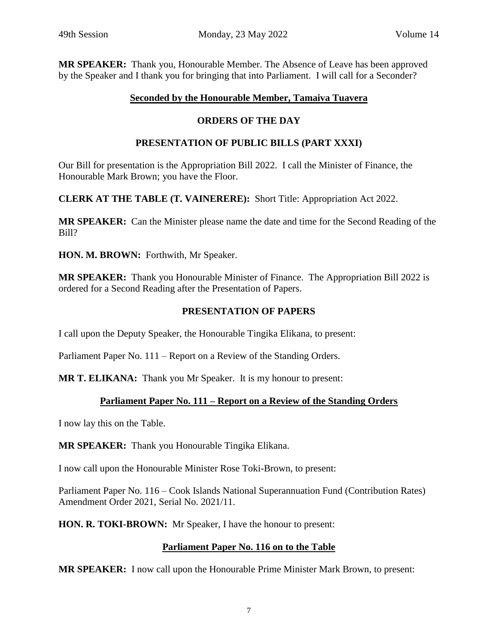**MR SPEAKER:** Thank you, Honourable Member. The Absence of Leave has been approved by the Speaker and I thank you for bringing that into Parliament. I will call for a Seconder?

## **Seconded by the Honourable Member, Tamaiva Tuavera**

# **ORDERS OF THE DAY**

# **PRESENTATION OF PUBLIC BILLS (PART XXXI)**

Our Bill for presentation is the Appropriation Bill 2022. I call the Minister of Finance, the Honourable Mark Brown; you have the Floor.

**CLERK AT THE TABLE (T. VAINERERE):** Short Title: Appropriation Act 2022.

**MR SPEAKER:** Can the Minister please name the date and time for the Second Reading of the Bill?

**HON. M. BROWN:** Forthwith, Mr Speaker.

**MR SPEAKER:** Thank you Honourable Minister of Finance. The Appropriation Bill 2022 is ordered for a Second Reading after the Presentation of Papers.

# **PRESENTATION OF PAPERS**

I call upon the Deputy Speaker, the Honourable Tingika Elikana, to present:

Parliament Paper No. 111 – Report on a Review of the Standing Orders.

**MR T. ELIKANA:** Thank you Mr Speaker. It is my honour to present:

# **Parliament Paper No. 111 – Report on a Review of the Standing Orders**

I now lay this on the Table.

**MR SPEAKER:** Thank you Honourable Tingika Elikana.

I now call upon the Honourable Minister Rose Toki-Brown, to present:

Parliament Paper No. 116 – Cook Islands National Superannuation Fund (Contribution Rates) Amendment Order 2021, Serial No. 2021/11.

**HON. R. TOKI-BROWN:** Mr Speaker, I have the honour to present:

# **Parliament Paper No. 116 on to the Table**

**MR SPEAKER:** I now call upon the Honourable Prime Minister Mark Brown, to present: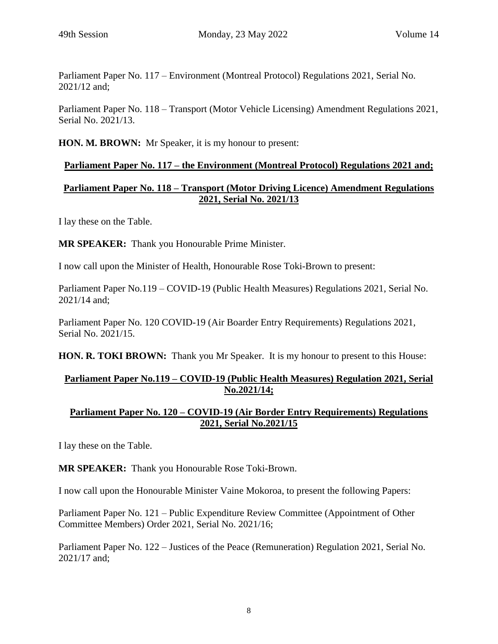Parliament Paper No. 117 – Environment (Montreal Protocol) Regulations 2021, Serial No. 2021/12 and;

Parliament Paper No. 118 – Transport (Motor Vehicle Licensing) Amendment Regulations 2021, Serial No. 2021/13.

**HON. M. BROWN:** Mr Speaker, it is my honour to present:

## **Parliament Paper No. 117 – the Environment (Montreal Protocol) Regulations 2021 and;**

# **Parliament Paper No. 118 – Transport (Motor Driving Licence) Amendment Regulations 2021, Serial No. 2021/13**

I lay these on the Table.

**MR SPEAKER:** Thank you Honourable Prime Minister.

I now call upon the Minister of Health, Honourable Rose Toki-Brown to present:

Parliament Paper No.119 – COVID-19 (Public Health Measures) Regulations 2021, Serial No. 2021/14 and;

Parliament Paper No. 120 COVID-19 (Air Boarder Entry Requirements) Regulations 2021, Serial No. 2021/15.

**HON. R. TOKI BROWN:** Thank you Mr Speaker. It is my honour to present to this House:

# **Parliament Paper No.119 – COVID-19 (Public Health Measures) Regulation 2021, Serial No.2021/14;**

## **Parliament Paper No. 120 – COVID-19 (Air Border Entry Requirements) Regulations 2021, Serial No.2021/15**

I lay these on the Table.

**MR SPEAKER:** Thank you Honourable Rose Toki-Brown.

I now call upon the Honourable Minister Vaine Mokoroa, to present the following Papers:

Parliament Paper No. 121 – Public Expenditure Review Committee (Appointment of Other Committee Members) Order 2021, Serial No. 2021/16;

Parliament Paper No. 122 – Justices of the Peace (Remuneration) Regulation 2021, Serial No. 2021/17 and;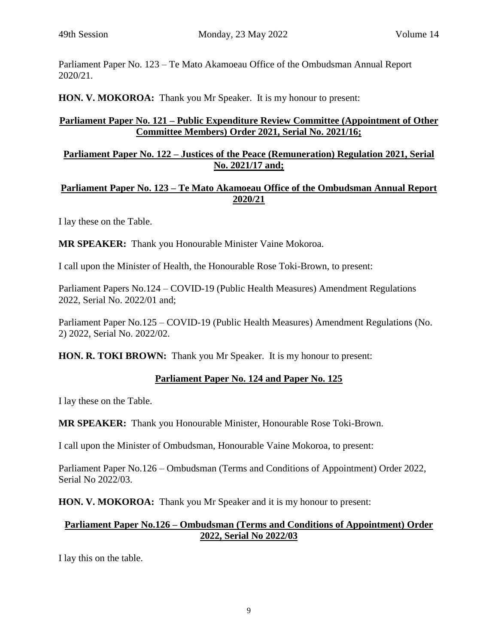Parliament Paper No. 123 – Te Mato Akamoeau Office of the Ombudsman Annual Report 2020/21.

**HON. V. MOKOROA:** Thank you Mr Speaker. It is my honour to present:

#### **Parliament Paper No. 121 – Public Expenditure Review Committee (Appointment of Other Committee Members) Order 2021, Serial No. 2021/16;**

#### **Parliament Paper No. 122 – Justices of the Peace (Remuneration) Regulation 2021, Serial No. 2021/17 and;**

#### **Parliament Paper No. 123 – Te Mato Akamoeau Office of the Ombudsman Annual Report 2020/21**

I lay these on the Table.

**MR SPEAKER:** Thank you Honourable Minister Vaine Mokoroa.

I call upon the Minister of Health, the Honourable Rose Toki-Brown, to present:

Parliament Papers No.124 – COVID-19 (Public Health Measures) Amendment Regulations 2022, Serial No. 2022/01 and;

Parliament Paper No.125 – COVID-19 (Public Health Measures) Amendment Regulations (No. 2) 2022, Serial No. 2022/02.

**HON. R. TOKI BROWN:** Thank you Mr Speaker. It is my honour to present:

#### **Parliament Paper No. 124 and Paper No. 125**

I lay these on the Table.

**MR SPEAKER:** Thank you Honourable Minister, Honourable Rose Toki-Brown.

I call upon the Minister of Ombudsman, Honourable Vaine Mokoroa, to present:

Parliament Paper No.126 – Ombudsman (Terms and Conditions of Appointment) Order 2022, Serial No 2022/03.

**HON. V. MOKOROA:** Thank you Mr Speaker and it is my honour to present:

#### **Parliament Paper No.126 – Ombudsman (Terms and Conditions of Appointment) Order 2022, Serial No 2022/03**

I lay this on the table.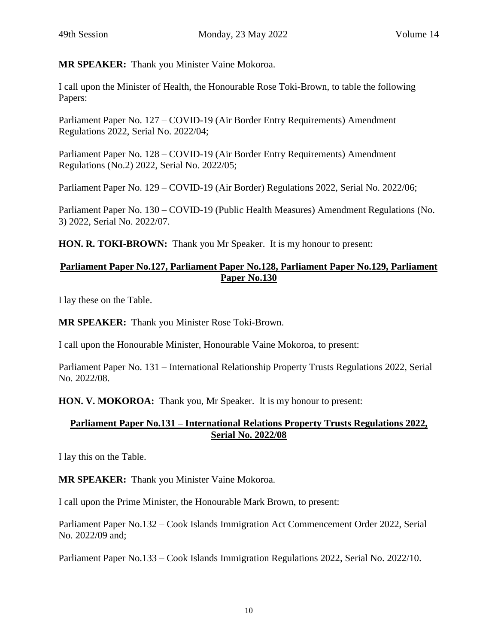**MR SPEAKER:** Thank you Minister Vaine Mokoroa.

I call upon the Minister of Health, the Honourable Rose Toki-Brown, to table the following Papers:

Parliament Paper No. 127 – COVID-19 (Air Border Entry Requirements) Amendment Regulations 2022, Serial No. 2022/04;

Parliament Paper No. 128 – COVID-19 (Air Border Entry Requirements) Amendment Regulations (No.2) 2022, Serial No. 2022/05;

Parliament Paper No. 129 – COVID-19 (Air Border) Regulations 2022, Serial No. 2022/06;

Parliament Paper No. 130 – COVID-19 (Public Health Measures) Amendment Regulations (No. 3) 2022, Serial No. 2022/07.

**HON. R. TOKI-BROWN:** Thank you Mr Speaker. It is my honour to present:

## **Parliament Paper No.127, Parliament Paper No.128, Parliament Paper No.129, Parliament Paper No.130**

I lay these on the Table.

**MR SPEAKER:** Thank you Minister Rose Toki-Brown.

I call upon the Honourable Minister, Honourable Vaine Mokoroa, to present:

Parliament Paper No. 131 – International Relationship Property Trusts Regulations 2022, Serial No. 2022/08.

**HON. V. MOKOROA:** Thank you, Mr Speaker. It is my honour to present:

#### **Parliament Paper No.131 – International Relations Property Trusts Regulations 2022, Serial No. 2022/08**

I lay this on the Table.

**MR SPEAKER:** Thank you Minister Vaine Mokoroa.

I call upon the Prime Minister, the Honourable Mark Brown, to present:

Parliament Paper No.132 – Cook Islands Immigration Act Commencement Order 2022, Serial No. 2022/09 and;

Parliament Paper No.133 – Cook Islands Immigration Regulations 2022, Serial No. 2022/10.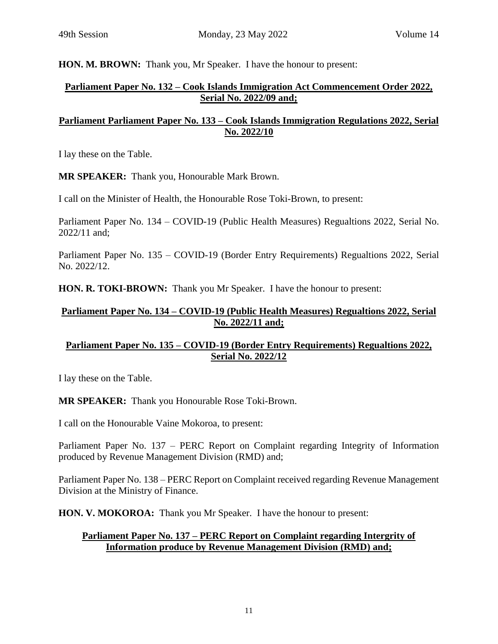**HON. M. BROWN:** Thank you, Mr Speaker. I have the honour to present:

# **Parliament Paper No. 132 – Cook Islands Immigration Act Commencement Order 2022, Serial No. 2022/09 and;**

# **Parliament Parliament Paper No. 133 – Cook Islands Immigration Regulations 2022, Serial No. 2022/10**

I lay these on the Table.

**MR SPEAKER:** Thank you, Honourable Mark Brown.

I call on the Minister of Health, the Honourable Rose Toki-Brown, to present:

Parliament Paper No. 134 – COVID-19 (Public Health Measures) Regualtions 2022, Serial No. 2022/11 and;

Parliament Paper No. 135 – COVID-19 (Border Entry Requirements) Regualtions 2022, Serial No. 2022/12.

**HON. R. TOKI-BROWN:** Thank you Mr Speaker. I have the honour to present:

#### **Parliament Paper No. 134 – COVID-19 (Public Health Measures) Regualtions 2022, Serial No. 2022/11 and;**

## **Parliament Paper No. 135 – COVID-19 (Border Entry Requirements) Regualtions 2022, Serial No. 2022/12**

I lay these on the Table.

**MR SPEAKER:** Thank you Honourable Rose Toki-Brown.

I call on the Honourable Vaine Mokoroa, to present:

Parliament Paper No. 137 – PERC Report on Complaint regarding Integrity of Information produced by Revenue Management Division (RMD) and;

Parliament Paper No. 138 – PERC Report on Complaint received regarding Revenue Management Division at the Ministry of Finance.

**HON. V. MOKOROA:** Thank you Mr Speaker. I have the honour to present:

## **Parliament Paper No. 137 – PERC Report on Complaint regarding Intergrity of Information produce by Revenue Management Division (RMD) and;**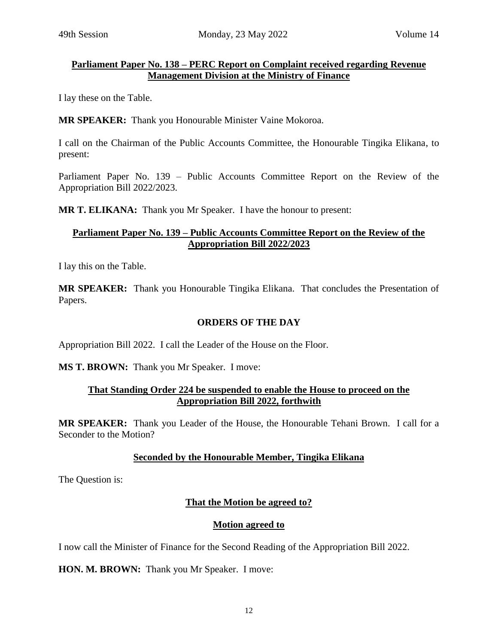#### **Parliament Paper No. 138 – PERC Report on Complaint received regarding Revenue Management Division at the Ministry of Finance**

I lay these on the Table.

**MR SPEAKER:** Thank you Honourable Minister Vaine Mokoroa.

I call on the Chairman of the Public Accounts Committee, the Honourable Tingika Elikana, to present:

Parliament Paper No. 139 – Public Accounts Committee Report on the Review of the Appropriation Bill 2022/2023.

**MR T. ELIKANA:** Thank you Mr Speaker. I have the honour to present:

#### **Parliament Paper No. 139 – Public Accounts Committee Report on the Review of the Appropriation Bill 2022/2023**

I lay this on the Table.

**MR SPEAKER:** Thank you Honourable Tingika Elikana. That concludes the Presentation of Papers.

## **ORDERS OF THE DAY**

Appropriation Bill 2022. I call the Leader of the House on the Floor.

**MS T. BROWN:** Thank you Mr Speaker. I move:

#### **That Standing Order 224 be suspended to enable the House to proceed on the Appropriation Bill 2022, forthwith**

**MR SPEAKER:** Thank you Leader of the House, the Honourable Tehani Brown. I call for a Seconder to the Motion?

#### **Seconded by the Honourable Member, Tingika Elikana**

The Question is:

#### **That the Motion be agreed to?**

#### **Motion agreed to**

I now call the Minister of Finance for the Second Reading of the Appropriation Bill 2022.

**HON. M. BROWN:** Thank you Mr Speaker. I move: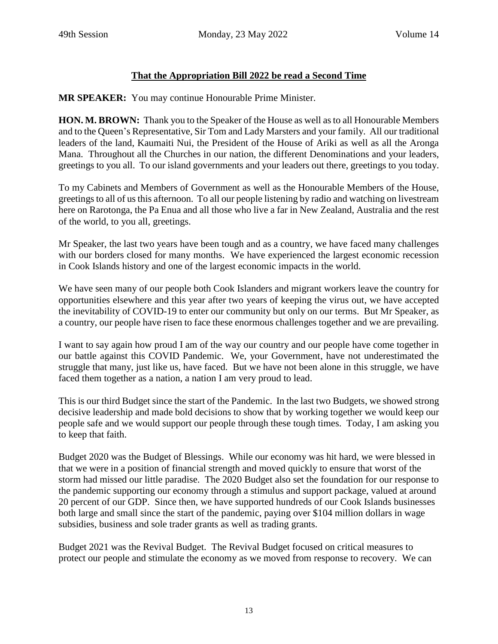# **That the Appropriation Bill 2022 be read a Second Time**

**MR SPEAKER:** You may continue Honourable Prime Minister.

**HON. M. BROWN:** Thank you to the Speaker of the House as well as to all Honourable Members and to the Queen's Representative, Sir Tom and Lady Marsters and your family. All our traditional leaders of the land, Kaumaiti Nui, the President of the House of Ariki as well as all the Aronga Mana. Throughout all the Churches in our nation, the different Denominations and your leaders, greetings to you all. To our island governments and your leaders out there, greetings to you today.

To my Cabinets and Members of Government as well as the Honourable Members of the House, greetings to all of us this afternoon. To all our people listening by radio and watching on livestream here on Rarotonga, the Pa Enua and all those who live a far in New Zealand, Australia and the rest of the world, to you all, greetings.

Mr Speaker, the last two years have been tough and as a country, we have faced many challenges with our borders closed for many months. We have experienced the largest economic recession in Cook Islands history and one of the largest economic impacts in the world.

We have seen many of our people both Cook Islanders and migrant workers leave the country for opportunities elsewhere and this year after two years of keeping the virus out, we have accepted the inevitability of COVID-19 to enter our community but only on our terms. But Mr Speaker, as a country, our people have risen to face these enormous challenges together and we are prevailing.

I want to say again how proud I am of the way our country and our people have come together in our battle against this COVID Pandemic. We, your Government, have not underestimated the struggle that many, just like us, have faced. But we have not been alone in this struggle, we have faced them together as a nation, a nation I am very proud to lead.

This is our third Budget since the start of the Pandemic. In the last two Budgets, we showed strong decisive leadership and made bold decisions to show that by working together we would keep our people safe and we would support our people through these tough times. Today, I am asking you to keep that faith.

Budget 2020 was the Budget of Blessings. While our economy was hit hard, we were blessed in that we were in a position of financial strength and moved quickly to ensure that worst of the storm had missed our little paradise. The 2020 Budget also set the foundation for our response to the pandemic supporting our economy through a stimulus and support package, valued at around 20 percent of our GDP. Since then, we have supported hundreds of our Cook Islands businesses both large and small since the start of the pandemic, paying over \$104 million dollars in wage subsidies, business and sole trader grants as well as trading grants.

Budget 2021 was the Revival Budget. The Revival Budget focused on critical measures to protect our people and stimulate the economy as we moved from response to recovery. We can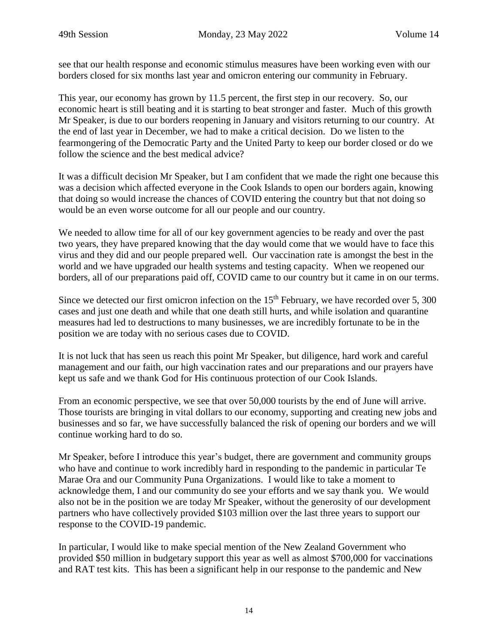see that our health response and economic stimulus measures have been working even with our borders closed for six months last year and omicron entering our community in February.

This year, our economy has grown by 11.5 percent, the first step in our recovery. So, our economic heart is still beating and it is starting to beat stronger and faster. Much of this growth Mr Speaker, is due to our borders reopening in January and visitors returning to our country. At the end of last year in December, we had to make a critical decision. Do we listen to the fearmongering of the Democratic Party and the United Party to keep our border closed or do we follow the science and the best medical advice?

It was a difficult decision Mr Speaker, but I am confident that we made the right one because this was a decision which affected everyone in the Cook Islands to open our borders again, knowing that doing so would increase the chances of COVID entering the country but that not doing so would be an even worse outcome for all our people and our country.

We needed to allow time for all of our key government agencies to be ready and over the past two years, they have prepared knowing that the day would come that we would have to face this virus and they did and our people prepared well. Our vaccination rate is amongst the best in the world and we have upgraded our health systems and testing capacity. When we reopened our borders, all of our preparations paid off, COVID came to our country but it came in on our terms.

Since we detected our first omicron infection on the  $15<sup>th</sup>$  February, we have recorded over 5, 300 cases and just one death and while that one death still hurts, and while isolation and quarantine measures had led to destructions to many businesses, we are incredibly fortunate to be in the position we are today with no serious cases due to COVID.

It is not luck that has seen us reach this point Mr Speaker, but diligence, hard work and careful management and our faith, our high vaccination rates and our preparations and our prayers have kept us safe and we thank God for His continuous protection of our Cook Islands.

From an economic perspective, we see that over 50,000 tourists by the end of June will arrive. Those tourists are bringing in vital dollars to our economy, supporting and creating new jobs and businesses and so far, we have successfully balanced the risk of opening our borders and we will continue working hard to do so.

Mr Speaker, before I introduce this year's budget, there are government and community groups who have and continue to work incredibly hard in responding to the pandemic in particular Te Marae Ora and our Community Puna Organizations. I would like to take a moment to acknowledge them, I and our community do see your efforts and we say thank you. We would also not be in the position we are today Mr Speaker, without the generosity of our development partners who have collectively provided \$103 million over the last three years to support our response to the COVID-19 pandemic.

In particular, I would like to make special mention of the New Zealand Government who provided \$50 million in budgetary support this year as well as almost \$700,000 for vaccinations and RAT test kits. This has been a significant help in our response to the pandemic and New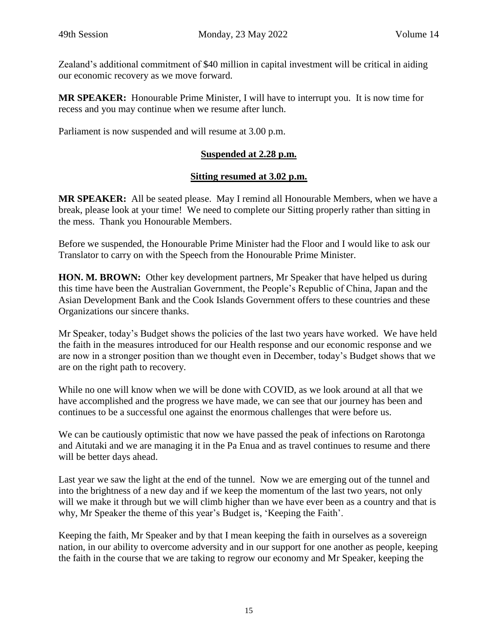Zealand's additional commitment of \$40 million in capital investment will be critical in aiding our economic recovery as we move forward.

**MR SPEAKER:** Honourable Prime Minister, I will have to interrupt you. It is now time for recess and you may continue when we resume after lunch.

Parliament is now suspended and will resume at 3.00 p.m.

# **Suspended at 2.28 p.m.**

## **Sitting resumed at 3.02 p.m.**

**MR SPEAKER:** All be seated please. May I remind all Honourable Members, when we have a break, please look at your time! We need to complete our Sitting properly rather than sitting in the mess. Thank you Honourable Members.

Before we suspended, the Honourable Prime Minister had the Floor and I would like to ask our Translator to carry on with the Speech from the Honourable Prime Minister.

**HON. M. BROWN:** Other key development partners, Mr Speaker that have helped us during this time have been the Australian Government, the People's Republic of China, Japan and the Asian Development Bank and the Cook Islands Government offers to these countries and these Organizations our sincere thanks.

Mr Speaker, today's Budget shows the policies of the last two years have worked. We have held the faith in the measures introduced for our Health response and our economic response and we are now in a stronger position than we thought even in December, today's Budget shows that we are on the right path to recovery.

While no one will know when we will be done with COVID, as we look around at all that we have accomplished and the progress we have made, we can see that our journey has been and continues to be a successful one against the enormous challenges that were before us.

We can be cautiously optimistic that now we have passed the peak of infections on Rarotonga and Aitutaki and we are managing it in the Pa Enua and as travel continues to resume and there will be better days ahead.

Last year we saw the light at the end of the tunnel. Now we are emerging out of the tunnel and into the brightness of a new day and if we keep the momentum of the last two years, not only will we make it through but we will climb higher than we have ever been as a country and that is why, Mr Speaker the theme of this year's Budget is, 'Keeping the Faith'.

Keeping the faith, Mr Speaker and by that I mean keeping the faith in ourselves as a sovereign nation, in our ability to overcome adversity and in our support for one another as people, keeping the faith in the course that we are taking to regrow our economy and Mr Speaker, keeping the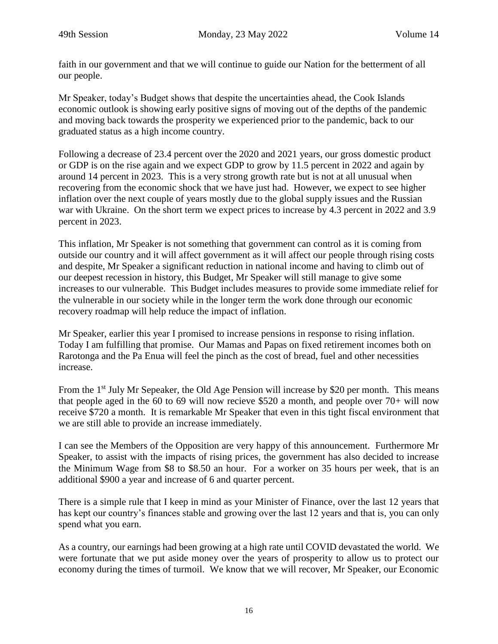faith in our government and that we will continue to guide our Nation for the betterment of all our people.

Mr Speaker, today's Budget shows that despite the uncertainties ahead, the Cook Islands economic outlook is showing early positive signs of moving out of the depths of the pandemic and moving back towards the prosperity we experienced prior to the pandemic, back to our graduated status as a high income country.

Following a decrease of 23.4 percent over the 2020 and 2021 years, our gross domestic product or GDP is on the rise again and we expect GDP to grow by 11.5 percent in 2022 and again by around 14 percent in 2023. This is a very strong growth rate but is not at all unusual when recovering from the economic shock that we have just had. However, we expect to see higher inflation over the next couple of years mostly due to the global supply issues and the Russian war with Ukraine. On the short term we expect prices to increase by 4.3 percent in 2022 and 3.9 percent in 2023.

This inflation, Mr Speaker is not something that government can control as it is coming from outside our country and it will affect government as it will affect our people through rising costs and despite, Mr Speaker a significant reduction in national income and having to climb out of our deepest recession in history, this Budget, Mr Speaker will still manage to give some increases to our vulnerable. This Budget includes measures to provide some immediate relief for the vulnerable in our society while in the longer term the work done through our economic recovery roadmap will help reduce the impact of inflation.

Mr Speaker, earlier this year I promised to increase pensions in response to rising inflation. Today I am fulfilling that promise. Our Mamas and Papas on fixed retirement incomes both on Rarotonga and the Pa Enua will feel the pinch as the cost of bread, fuel and other necessities increase.

From the  $1<sup>st</sup>$  July Mr Sepeaker, the Old Age Pension will increase by \$20 per month. This means that people aged in the 60 to 69 will now recieve \$520 a month, and people over 70+ will now receive \$720 a month. It is remarkable Mr Speaker that even in this tight fiscal environment that we are still able to provide an increase immediately.

I can see the Members of the Opposition are very happy of this announcement. Furthermore Mr Speaker, to assist with the impacts of rising prices, the government has also decided to increase the Minimum Wage from \$8 to \$8.50 an hour. For a worker on 35 hours per week, that is an additional \$900 a year and increase of 6 and quarter percent.

There is a simple rule that I keep in mind as your Minister of Finance, over the last 12 years that has kept our country's finances stable and growing over the last 12 years and that is, you can only spend what you earn.

As a country, our earnings had been growing at a high rate until COVID devastated the world. We were fortunate that we put aside money over the years of prosperity to allow us to protect our economy during the times of turmoil. We know that we will recover, Mr Speaker, our Economic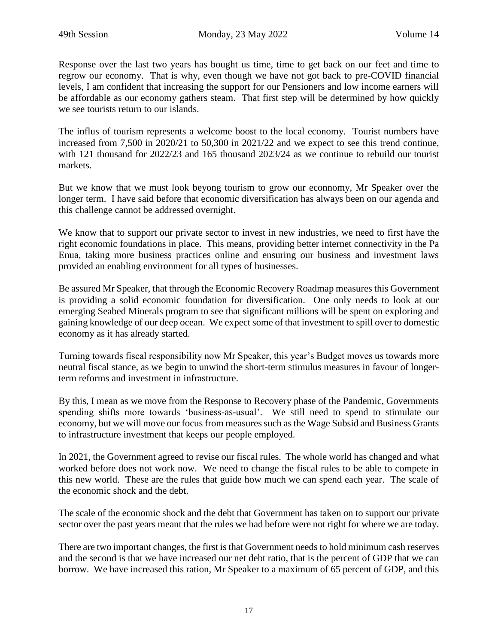Response over the last two years has bought us time, time to get back on our feet and time to regrow our economy. That is why, even though we have not got back to pre-COVID financial levels, I am confident that increasing the support for our Pensioners and low income earners will be affordable as our economy gathers steam. That first step will be determined by how quickly we see tourists return to our islands.

The influs of tourism represents a welcome boost to the local economy. Tourist numbers have increased from 7,500 in 2020/21 to 50,300 in 2021/22 and we expect to see this trend continue, with 121 thousand for 2022/23 and 165 thousand 2023/24 as we continue to rebuild our tourist markets.

But we know that we must look beyong tourism to grow our econnomy, Mr Speaker over the longer term. I have said before that economic diversification has always been on our agenda and this challenge cannot be addressed overnight.

We know that to support our private sector to invest in new industries, we need to first have the right economic foundations in place. This means, providing better internet connectivity in the Pa Enua, taking more business practices online and ensuring our business and investment laws provided an enabling environment for all types of businesses.

Be assured Mr Speaker, that through the Economic Recovery Roadmap measures this Government is providing a solid economic foundation for diversification. One only needs to look at our emerging Seabed Minerals program to see that significant millions will be spent on exploring and gaining knowledge of our deep ocean. We expect some of that investment to spill over to domestic economy as it has already started.

Turning towards fiscal responsibility now Mr Speaker, this year's Budget moves us towards more neutral fiscal stance, as we begin to unwind the short-term stimulus measures in favour of longerterm reforms and investment in infrastructure.

By this, I mean as we move from the Response to Recovery phase of the Pandemic, Governments spending shifts more towards 'business-as-usual'. We still need to spend to stimulate our economy, but we will move our focus from measures such as the Wage Subsid and Business Grants to infrastructure investment that keeps our people employed.

In 2021, the Government agreed to revise our fiscal rules. The whole world has changed and what worked before does not work now. We need to change the fiscal rules to be able to compete in this new world. These are the rules that guide how much we can spend each year. The scale of the economic shock and the debt.

The scale of the economic shock and the debt that Government has taken on to support our private sector over the past years meant that the rules we had before were not right for where we are today.

There are two important changes, the first is that Government needs to hold minimum cash reserves and the second is that we have increased our net debt ratio, that is the percent of GDP that we can borrow. We have increased this ration, Mr Speaker to a maximum of 65 percent of GDP, and this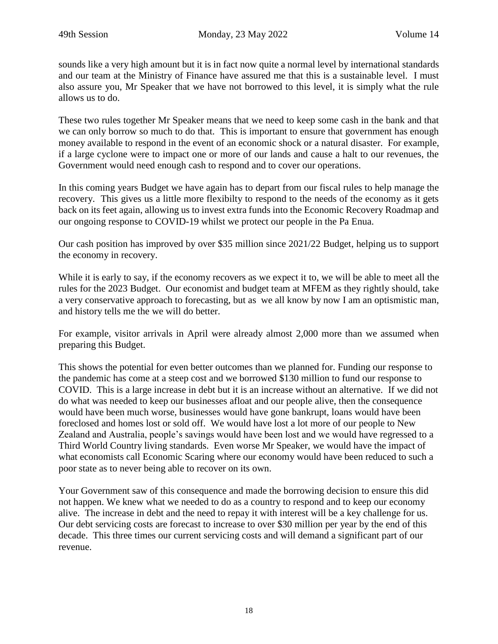sounds like a very high amount but it is in fact now quite a normal level by international standards and our team at the Ministry of Finance have assured me that this is a sustainable level. I must also assure you, Mr Speaker that we have not borrowed to this level, it is simply what the rule allows us to do.

These two rules together Mr Speaker means that we need to keep some cash in the bank and that we can only borrow so much to do that. This is important to ensure that government has enough money available to respond in the event of an economic shock or a natural disaster. For example, if a large cyclone were to impact one or more of our lands and cause a halt to our revenues, the Government would need enough cash to respond and to cover our operations.

In this coming years Budget we have again has to depart from our fiscal rules to help manage the recovery. This gives us a little more flexibilty to respond to the needs of the economy as it gets back on its feet again, allowing us to invest extra funds into the Economic Recovery Roadmap and our ongoing response to COVID-19 whilst we protect our people in the Pa Enua.

Our cash position has improved by over \$35 million since 2021/22 Budget, helping us to support the economy in recovery.

While it is early to say, if the economy recovers as we expect it to, we will be able to meet all the rules for the 2023 Budget. Our economist and budget team at MFEM as they rightly should, take a very conservative approach to forecasting, but as we all know by now I am an optismistic man, and history tells me the we will do better.

For example, visitor arrivals in April were already almost 2,000 more than we assumed when preparing this Budget.

This shows the potential for even better outcomes than we planned for. Funding our response to the pandemic has come at a steep cost and we borrowed \$130 million to fund our response to COVID. This is a large increase in debt but it is an increase without an alternative. If we did not do what was needed to keep our businesses afloat and our people alive, then the consequence would have been much worse, businesses would have gone bankrupt, loans would have been foreclosed and homes lost or sold off. We would have lost a lot more of our people to New Zealand and Australia, people's savings would have been lost and we would have regressed to a Third World Country living standards. Even worse Mr Speaker, we would have the impact of what economists call Economic Scaring where our economy would have been reduced to such a poor state as to never being able to recover on its own.

Your Government saw of this consequence and made the borrowing decision to ensure this did not happen. We knew what we needed to do as a country to respond and to keep our economy alive. The increase in debt and the need to repay it with interest will be a key challenge for us. Our debt servicing costs are forecast to increase to over \$30 million per year by the end of this decade. This three times our current servicing costs and will demand a significant part of our revenue.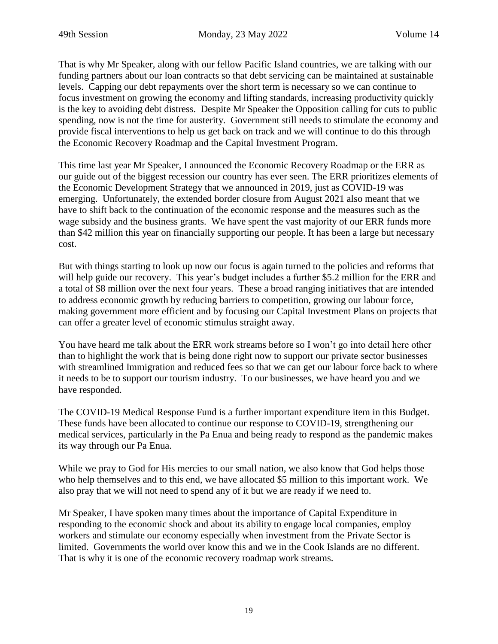That is why Mr Speaker, along with our fellow Pacific Island countries, we are talking with our funding partners about our loan contracts so that debt servicing can be maintained at sustainable levels. Capping our debt repayments over the short term is necessary so we can continue to focus investment on growing the economy and lifting standards, increasing productivity quickly is the key to avoiding debt distress. Despite Mr Speaker the Opposition calling for cuts to public spending, now is not the time for austerity. Government still needs to stimulate the economy and provide fiscal interventions to help us get back on track and we will continue to do this through the Economic Recovery Roadmap and the Capital Investment Program.

This time last year Mr Speaker, I announced the Economic Recovery Roadmap or the ERR as our guide out of the biggest recession our country has ever seen. The ERR prioritizes elements of the Economic Development Strategy that we announced in 2019, just as COVID-19 was emerging. Unfortunately, the extended border closure from August 2021 also meant that we have to shift back to the continuation of the economic response and the measures such as the wage subsidy and the business grants. We have spent the vast majority of our ERR funds more than \$42 million this year on financially supporting our people. It has been a large but necessary cost.

But with things starting to look up now our focus is again turned to the policies and reforms that will help guide our recovery. This year's budget includes a further \$5.2 million for the ERR and a total of \$8 million over the next four years. These a broad ranging initiatives that are intended to address economic growth by reducing barriers to competition, growing our labour force, making government more efficient and by focusing our Capital Investment Plans on projects that can offer a greater level of economic stimulus straight away.

You have heard me talk about the ERR work streams before so I won't go into detail here other than to highlight the work that is being done right now to support our private sector businesses with streamlined Immigration and reduced fees so that we can get our labour force back to where it needs to be to support our tourism industry. To our businesses, we have heard you and we have responded.

The COVID-19 Medical Response Fund is a further important expenditure item in this Budget. These funds have been allocated to continue our response to COVID-19, strengthening our medical services, particularly in the Pa Enua and being ready to respond as the pandemic makes its way through our Pa Enua.

While we pray to God for His mercies to our small nation, we also know that God helps those who help themselves and to this end, we have allocated \$5 million to this important work. We also pray that we will not need to spend any of it but we are ready if we need to.

Mr Speaker, I have spoken many times about the importance of Capital Expenditure in responding to the economic shock and about its ability to engage local companies, employ workers and stimulate our economy especially when investment from the Private Sector is limited. Governments the world over know this and we in the Cook Islands are no different. That is why it is one of the economic recovery roadmap work streams.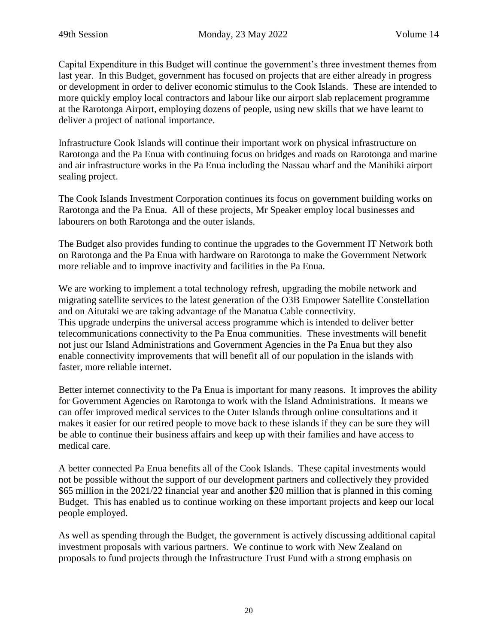Capital Expenditure in this Budget will continue the government's three investment themes from last year. In this Budget, government has focused on projects that are either already in progress or development in order to deliver economic stimulus to the Cook Islands. These are intended to more quickly employ local contractors and labour like our airport slab replacement programme at the Rarotonga Airport, employing dozens of people, using new skills that we have learnt to deliver a project of national importance.

Infrastructure Cook Islands will continue their important work on physical infrastructure on Rarotonga and the Pa Enua with continuing focus on bridges and roads on Rarotonga and marine and air infrastructure works in the Pa Enua including the Nassau wharf and the Manihiki airport sealing project.

The Cook Islands Investment Corporation continues its focus on government building works on Rarotonga and the Pa Enua. All of these projects, Mr Speaker employ local businesses and labourers on both Rarotonga and the outer islands.

The Budget also provides funding to continue the upgrades to the Government IT Network both on Rarotonga and the Pa Enua with hardware on Rarotonga to make the Government Network more reliable and to improve inactivity and facilities in the Pa Enua.

We are working to implement a total technology refresh, upgrading the mobile network and migrating satellite services to the latest generation of the O3B Empower Satellite Constellation and on Aitutaki we are taking advantage of the Manatua Cable connectivity. This upgrade underpins the universal access programme which is intended to deliver better telecommunications connectivity to the Pa Enua communities. These investments will benefit not just our Island Administrations and Government Agencies in the Pa Enua but they also enable connectivity improvements that will benefit all of our population in the islands with faster, more reliable internet.

Better internet connectivity to the Pa Enua is important for many reasons. It improves the ability for Government Agencies on Rarotonga to work with the Island Administrations. It means we can offer improved medical services to the Outer Islands through online consultations and it makes it easier for our retired people to move back to these islands if they can be sure they will be able to continue their business affairs and keep up with their families and have access to medical care.

A better connected Pa Enua benefits all of the Cook Islands. These capital investments would not be possible without the support of our development partners and collectively they provided \$65 million in the 2021/22 financial year and another \$20 million that is planned in this coming Budget. This has enabled us to continue working on these important projects and keep our local people employed.

As well as spending through the Budget, the government is actively discussing additional capital investment proposals with various partners. We continue to work with New Zealand on proposals to fund projects through the Infrastructure Trust Fund with a strong emphasis on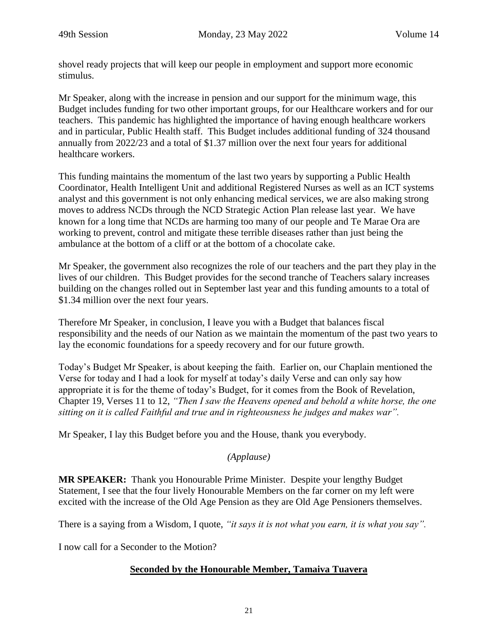shovel ready projects that will keep our people in employment and support more economic stimulus.

Mr Speaker, along with the increase in pension and our support for the minimum wage, this Budget includes funding for two other important groups, for our Healthcare workers and for our teachers. This pandemic has highlighted the importance of having enough healthcare workers and in particular, Public Health staff. This Budget includes additional funding of 324 thousand annually from 2022/23 and a total of \$1.37 million over the next four years for additional healthcare workers.

This funding maintains the momentum of the last two years by supporting a Public Health Coordinator, Health Intelligent Unit and additional Registered Nurses as well as an ICT systems analyst and this government is not only enhancing medical services, we are also making strong moves to address NCDs through the NCD Strategic Action Plan release last year. We have known for a long time that NCDs are harming too many of our people and Te Marae Ora are working to prevent, control and mitigate these terrible diseases rather than just being the ambulance at the bottom of a cliff or at the bottom of a chocolate cake.

Mr Speaker, the government also recognizes the role of our teachers and the part they play in the lives of our children. This Budget provides for the second tranche of Teachers salary increases building on the changes rolled out in September last year and this funding amounts to a total of \$1.34 million over the next four years.

Therefore Mr Speaker, in conclusion, I leave you with a Budget that balances fiscal responsibility and the needs of our Nation as we maintain the momentum of the past two years to lay the economic foundations for a speedy recovery and for our future growth.

Today's Budget Mr Speaker, is about keeping the faith. Earlier on, our Chaplain mentioned the Verse for today and I had a look for myself at today's daily Verse and can only say how appropriate it is for the theme of today's Budget, for it comes from the Book of Revelation, Chapter 19, Verses 11 to 12, *"Then I saw the Heavens opened and behold a white horse, the one sitting on it is called Faithful and true and in righteousness he judges and makes war".*

Mr Speaker, I lay this Budget before you and the House, thank you everybody.

#### *(Applause)*

**MR SPEAKER:** Thank you Honourable Prime Minister. Despite your lengthy Budget Statement, I see that the four lively Honourable Members on the far corner on my left were excited with the increase of the Old Age Pension as they are Old Age Pensioners themselves.

There is a saying from a Wisdom, I quote, *"it says it is not what you earn, it is what you say".*

I now call for a Seconder to the Motion?

#### **Seconded by the Honourable Member, Tamaiva Tuavera**